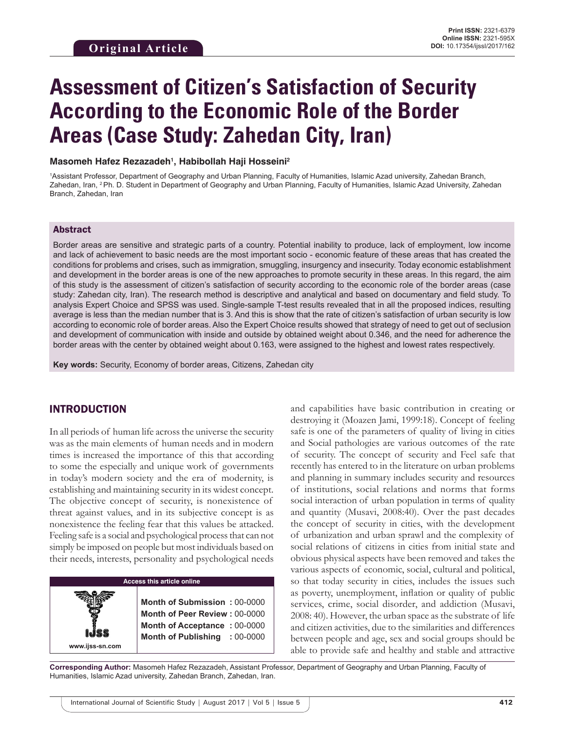# **Assessment of Citizen's Satisfaction of Security According to the Economic Role of the Border Areas (Case Study: Zahedan City, Iran)**

#### **Masomeh Hafez Rezazadeh1 , Habibollah Haji Hosseini2**

1 Assistant Professor, Department of Geography and Urban Planning, Faculty of Humanities, Islamic Azad university, Zahedan Branch, Zahedan, Iran, 2 Ph. D. Student in Department of Geography and Urban Planning, Faculty of Humanities, Islamic Azad University, Zahedan Branch, Zahedan, Iran

## Abstract

Border areas are sensitive and strategic parts of a country. Potential inability to produce, lack of employment, low income and lack of achievement to basic needs are the most important socio - economic feature of these areas that has created the conditions for problems and crises, such as immigration, smuggling, insurgency and insecurity. Today economic establishment and development in the border areas is one of the new approaches to promote security in these areas. In this regard, the aim of this study is the assessment of citizen's satisfaction of security according to the economic role of the border areas (case study: Zahedan city, Iran). The research method is descriptive and analytical and based on documentary and field study. To analysis Expert Choice and SPSS was used. Single-sample T-test results revealed that in all the proposed indices, resulting average is less than the median number that is 3. And this is show that the rate of citizen's satisfaction of urban security is low according to economic role of border areas. Also the Expert Choice results showed that strategy of need to get out of seclusion and development of communication with inside and outside by obtained weight about 0.346, and the need for adherence the border areas with the center by obtained weight about 0.163, were assigned to the highest and lowest rates respectively.

**Key words:** Security, Economy of border areas, Citizens, Zahedan city

#### INTRODUCTION

**www.ijss-sn.com**

In all periods of human life across the universe the security was as the main elements of human needs and in modern times is increased the importance of this that according to some the especially and unique work of governments in today's modern society and the era of modernity, is establishing and maintaining security in its widest concept. The objective concept of security, is nonexistence of threat against values, and in its subjective concept is as nonexistence the feeling fear that this values be attacked. Feeling safe is a social and psychological process that can not simply be imposed on people but most individuals based on their needs, interests, personality and psychological needs

#### **Access this article online**

**Month of Submission :** 00-0000 **Month of Peer Review :** 00-0000 **Month of Acceptance :** 00-0000 **Month of Publishing :** 00-0000 and capabilities have basic contribution in creating or destroying it (Moazen Jami, 1999:18). Concept of feeling safe is one of the parameters of quality of living in cities and Social pathologies are various outcomes of the rate of security. The concept of security and Feel safe that recently has entered to in the literature on urban problems and planning in summary includes security and resources of institutions, social relations and norms that forms social interaction of urban population in terms of quality and quantity (Musavi, 2008:40). Over the past decades the concept of security in cities, with the development of urbanization and urban sprawl and the complexity of social relations of citizens in cities from initial state and obvious physical aspects have been removed and takes the various aspects of economic, social, cultural and political, so that today security in cities, includes the issues such as poverty, unemployment, inflation or quality of public services, crime, social disorder, and addiction (Musavi, 2008: 40). However, the urban space as the substrate of life and citizen activities, due to the similarities and differences between people and age, sex and social groups should be able to provide safe and healthy and stable and attractive

**Corresponding Author:** Masomeh Hafez Rezazadeh, Assistant Professor, Department of Geography and Urban Planning, Faculty of Humanities, Islamic Azad university, Zahedan Branch, Zahedan, Iran.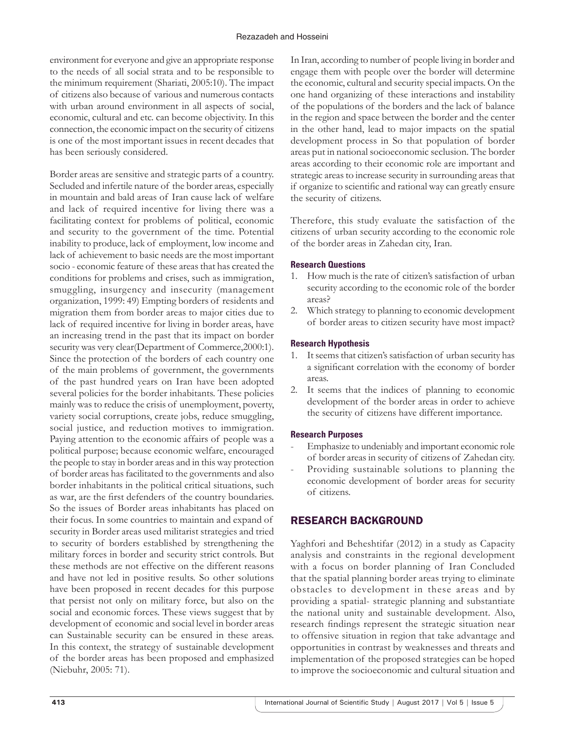environment for everyone and give an appropriate response to the needs of all social strata and to be responsible to the minimum requirement (Shariati, 2005:10). The impact of citizens also because of various and numerous contacts with urban around environment in all aspects of social, economic, cultural and etc. can become objectivity. In this connection, the economic impact on the security of citizens is one of the most important issues in recent decades that has been seriously considered.

Border areas are sensitive and strategic parts of a country. Secluded and infertile nature of the border areas, especially in mountain and bald areas of Iran cause lack of welfare and lack of required incentive for living there was a facilitating context for problems of political, economic and security to the government of the time. Potential inability to produce, lack of employment, low income and lack of achievement to basic needs are the most important socio - economic feature of these areas that has created the conditions for problems and crises, such as immigration, smuggling, insurgency and insecurity (management organization, 1999: 49) Empting borders of residents and migration them from border areas to major cities due to lack of required incentive for living in border areas, have an increasing trend in the past that its impact on border security was very clear(Department of Commerce, 2000:1). Since the protection of the borders of each country one of the main problems of government, the governments of the past hundred years on Iran have been adopted several policies for the border inhabitants. These policies mainly was to reduce the crisis of unemployment, poverty, variety social corruptions, create jobs, reduce smuggling, social justice, and reduction motives to immigration. Paying attention to the economic affairs of people was a political purpose; because economic welfare, encouraged the people to stay in border areas and in this way protection of border areas has facilitated to the governments and also border inhabitants in the political critical situations, such as war, are the first defenders of the country boundaries. So the issues of Border areas inhabitants has placed on their focus. In some countries to maintain and expand of security in Border areas used militarist strategies and tried to security of borders established by strengthening the military forces in border and security strict controls. But these methods are not effective on the different reasons and have not led in positive results. So other solutions have been proposed in recent decades for this purpose that persist not only on military force, but also on the social and economic forces. These views suggest that by development of economic and social level in border areas can Sustainable security can be ensured in these areas. In this context, the strategy of sustainable development of the border areas has been proposed and emphasized (Niebuhr, 2005: 71).

In Iran, according to number of people living in border and engage them with people over the border will determine the economic, cultural and security special impacts. On the one hand organizing of these interactions and instability of the populations of the borders and the lack of balance in the region and space between the border and the center in the other hand, lead to major impacts on the spatial development process in So that population of border areas put in national socioeconomic seclusion. The border areas according to their economic role are important and strategic areas to increase security in surrounding areas that if organize to scientific and rational way can greatly ensure the security of citizens.

Therefore, this study evaluate the satisfaction of the citizens of urban security according to the economic role of the border areas in Zahedan city, Iran.

## **Research Questions**

- 1. How much is the rate of citizen's satisfaction of urban security according to the economic role of the border areas?
- 2. Which strategy to planning to economic development of border areas to citizen security have most impact?

## **Research Hypothesis**

- 1. It seems that citizen's satisfaction of urban security has a significant correlation with the economy of border areas.
- 2. It seems that the indices of planning to economic development of the border areas in order to achieve the security of citizens have different importance.

#### **Research Purposes**

- Emphasize to undeniably and important economic role of border areas in security of citizens of Zahedan city.
- Providing sustainable solutions to planning the economic development of border areas for security of citizens.

# RESEARCH BACKGROUND

Yaghfori and Beheshtifar (2012) in a study as Capacity analysis and constraints in the regional development with a focus on border planning of Iran Concluded that the spatial planning border areas trying to eliminate obstacles to development in these areas and by providing a spatial- strategic planning and substantiate the national unity and sustainable development. Also, research findings represent the strategic situation near to offensive situation in region that take advantage and opportunities in contrast by weaknesses and threats and implementation of the proposed strategies can be hoped to improve the socioeconomic and cultural situation and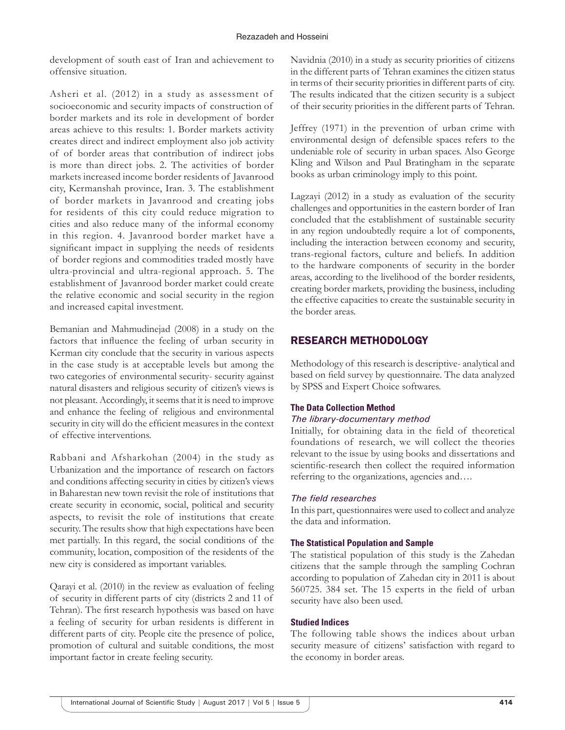#### Rezazadeh and Hosseini

development of south east of Iran and achievement to offensive situation.

Asheri et al. (2012) in a study as assessment of socioeconomic and security impacts of construction of border markets and its role in development of border areas achieve to this results: 1. Border markets activity creates direct and indirect employment also job activity of of border areas that contribution of indirect jobs is more than direct jobs. 2. The activities of border markets increased income border residents of Javanrood city, Kermanshah province, Iran. 3. The establishment of border markets in Javanrood and creating jobs for residents of this city could reduce migration to cities and also reduce many of the informal economy in this region. 4. Javanrood border market have a significant impact in supplying the needs of residents of border regions and commodities traded mostly have ultra-provincial and ultra-regional approach. 5. The establishment of Javanrood border market could create the relative economic and social security in the region and increased capital investment.

Bemanian and Mahmudinejad (2008) in a study on the factors that influence the feeling of urban security in Kerman city conclude that the security in various aspects in the case study is at acceptable levels but among the two categories of environmental security- security against natural disasters and religious security of citizen's views is not pleasant. Accordingly, it seems that it is need to improve and enhance the feeling of religious and environmental security in city will do the efficient measures in the context of effective interventions.

Rabbani and Afsharkohan (2004) in the study as Urbanization and the importance of research on factors and conditions affecting security in cities by citizen's views in Baharestan new town revisit the role of institutions that create security in economic, social, political and security aspects, to revisit the role of institutions that create security. The results show that high expectations have been met partially. In this regard, the social conditions of the community, location, composition of the residents of the new city is considered as important variables.

Qarayi et al. (2010) in the review as evaluation of feeling of security in different parts of city (districts 2 and 11 of Tehran). The first research hypothesis was based on have a feeling of security for urban residents is different in different parts of city. People cite the presence of police, promotion of cultural and suitable conditions, the most important factor in create feeling security.

Navidnia (2010) in a study as security priorities of citizens in the different parts of Tehran examines the citizen status in terms of their security priorities in different parts of city. The results indicated that the citizen security is a subject of their security priorities in the different parts of Tehran.

Jeffrey (1971) in the prevention of urban crime with environmental design of defensible spaces refers to the undeniable role of security in urban spaces. Also George Kling and Wilson and Paul Bratingham in the separate books as urban criminology imply to this point.

Lagzayi (2012) in a study as evaluation of the security challenges and opportunities in the eastern border of Iran concluded that the establishment of sustainable security in any region undoubtedly require a lot of components, including the interaction between economy and security, trans-regional factors, culture and beliefs. In addition to the hardware components of security in the border areas, according to the livelihood of the border residents, creating border markets, providing the business, including the effective capacities to create the sustainable security in the border areas.

# RESEARCH METHODOLOGY

Methodology of this research is descriptive- analytical and based on field survey by questionnaire. The data analyzed by SPSS and Expert Choice softwares.

# **The Data Collection Method**

#### *The library-documentary method*

Initially, for obtaining data in the field of theoretical foundations of research, we will collect the theories relevant to the issue by using books and dissertations and scientific-research then collect the required information referring to the organizations, agencies and….

# *The field researches*

In this part, questionnaires were used to collect and analyze the data and information.

#### **The Statistical Population and Sample**

The statistical population of this study is the Zahedan citizens that the sample through the sampling Cochran according to population of Zahedan city in 2011 is about 560725. 384 set. The 15 experts in the field of urban security have also been used.

# **Studied Indices**

The following table shows the indices about urban security measure of citizens' satisfaction with regard to the economy in border areas.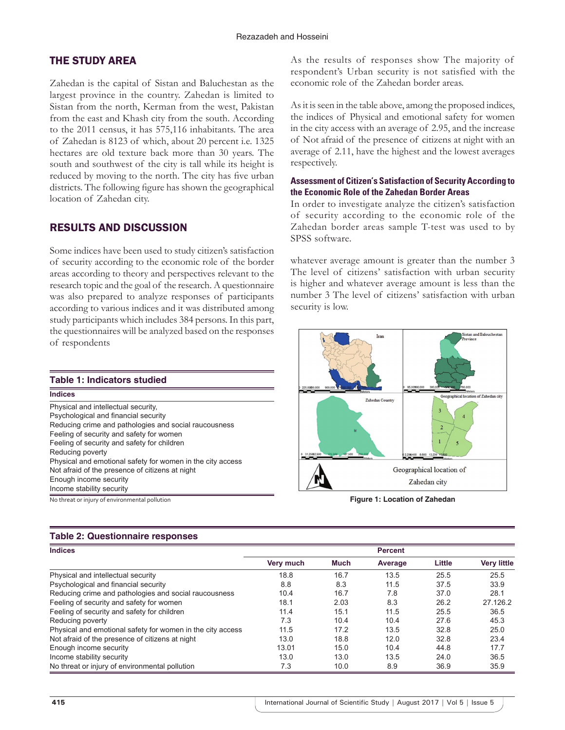# THE STUDY AREA

Zahedan is the capital of Sistan and Baluchestan as the largest province in the country. Zahedan is limited to Sistan from the north, Kerman from the west, Pakistan from the east and Khash city from the south. According to the 2011 census, it has 575,116 inhabitants. The area of Zahedan is 8123 of which, about 20 percent i.e. 1325 hectares are old texture back more than 30 years. The south and southwest of the city is tall while its height is reduced by moving to the north. The city has five urban districts. The following figure has shown the geographical location of Zahedan city.

# RESULTS AND DISCUSSION

Some indices have been used to study citizen's satisfaction of security according to the economic role of the border areas according to theory and perspectives relevant to the research topic and the goal of the research. A questionnaire was also prepared to analyze responses of participants according to various indices and it was distributed among study participants which includes 384 persons. In this part, the questionnaires will be analyzed based on the responses of respondents

| <b>Table 1: Indicators studied</b>                         |
|------------------------------------------------------------|
| <b>Indices</b>                                             |
| Physical and intellectual security,                        |
| Psychological and financial security                       |
| Reducing crime and pathologies and social raucousness      |
| Feeling of security and safety for women                   |
| Feeling of security and safety for children                |
| Reducing poverty                                           |
| Physical and emotional safety for women in the city access |
| Not afraid of the presence of citizens at night            |
| Enough income security                                     |
| Income stability security                                  |
|                                                            |

# **Table 2: Questionnaire responses**

As the results of responses show The majority of respondent's Urban security is not satisfied with the economic role of the Zahedan border areas.

As it is seen in the table above, among the proposed indices, the indices of Physical and emotional safety for women in the city access with an average of 2.95, and the increase of Not afraid of the presence of citizens at night with an average of 2.11, have the highest and the lowest averages respectively.

#### **Assessment of Citizen's Satisfaction of Security According to the Economic Role of the Zahedan Border Areas**

In order to investigate analyze the citizen's satisfaction of security according to the economic role of the Zahedan border areas sample T-test was used to by SPSS software.

whatever average amount is greater than the number 3 The level of citizens' satisfaction with urban security is higher and whatever average amount is less than the number 3 The level of citizens' satisfaction with urban security is low.



No threat or injury of environmental pollution **Figure 1: Location of Zahedan**

| <b>Indices</b>                                             | <b>Percent</b> |             |         |        |                    |
|------------------------------------------------------------|----------------|-------------|---------|--------|--------------------|
|                                                            | Very much      | <b>Much</b> | Average | Little | <b>Very little</b> |
| Physical and intellectual security                         | 18.8           | 16.7        | 13.5    | 25.5   | 25.5               |
| Psychological and financial security                       | 8.8            | 8.3         | 11.5    | 37.5   | 33.9               |
| Reducing crime and pathologies and social raucousness      | 10.4           | 16.7        | 7.8     | 37.0   | 28.1               |
| Feeling of security and safety for women                   | 18.1           | 2.03        | 8.3     | 26.2   | 27.126.2           |
| Feeling of security and safety for children                | 11.4           | 15.1        | 11.5    | 25.5   | 36.5               |
| Reducing poverty                                           | 7.3            | 10.4        | 10.4    | 27.6   | 45.3               |
| Physical and emotional safety for women in the city access | 11.5           | 17.2        | 13.5    | 32.8   | 25.0               |
| Not afraid of the presence of citizens at night            | 13.0           | 18.8        | 12.0    | 32.8   | 23.4               |
| Enough income security                                     | 13.01          | 15.0        | 10.4    | 44.8   | 17.7               |
| Income stability security                                  | 13.0           | 13.0        | 13.5    | 24.0   | 36.5               |
| No threat or injury of environmental pollution             | 7.3            | 10.0        | 8.9     | 36.9   | 35.9               |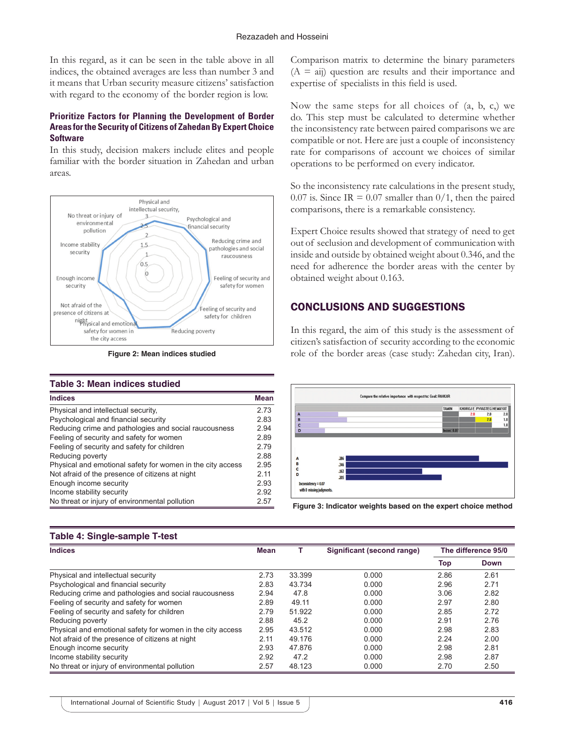In this regard, as it can be seen in the table above in all indices, the obtained averages are less than number 3 and it means that Urban security measure citizens' satisfaction with regard to the economy of the border region is low.

#### **Prioritize Factors for Planning the Development of Border Areas for the Security of Citizens of Zahedan By Expert Choice Software**

In this study, decision makers include elites and people familiar with the border situation in Zahedan and urban areas.



**Figure 2: Mean indices studied**

#### **Table 3: Mean indices studied**

| <b>Indices</b>                                             | <b>Mean</b> |
|------------------------------------------------------------|-------------|
| Physical and intellectual security,                        | 2.73        |
| Psychological and financial security                       | 2.83        |
| Reducing crime and pathologies and social raucousness      | 2.94        |
| Feeling of security and safety for women                   | 2.89        |
| Feeling of security and safety for children                | 2.79        |
| Reducing poverty                                           | 2.88        |
| Physical and emotional safety for women in the city access | 2.95        |
| Not afraid of the presence of citizens at night            | 2.11        |
| Enough income security                                     | 2.93        |
| Income stability security                                  | 2.92        |
| No threat or injury of environmental pollution             | 2.57        |

Comparison matrix to determine the binary parameters  $(A = ai)$  question are results and their importance and expertise of specialists in this field is used.

Now the same steps for all choices of  $(a, b, c)$ , we do. This step must be calculated to determine whether the inconsistency rate between paired comparisons we are compatible or not. Here are just a couple of inconsistency rate for comparisons of account we choices of similar operations to be performed on every indicator.

So the inconsistency rate calculations in the present study, 0.07 is. Since IR = 0.07 smaller than  $0/1$ , then the paired comparisons, there is a remarkable consistency.

Expert Choice results showed that strategy of need to get out of seclusion and development of communication with inside and outside by obtained weight about 0.346, and the need for adherence the border areas with the center by obtained weight about 0.163.

# CONCLUSIONS AND SUGGESTIONS

In this regard, the aim of this study is the assessment of citizen's satisfaction of security according to the economic role of the border areas (case study: Zahedan city, Iran).



**Figure 3: Indicator weights based on the expert choice method**

#### **Table 4: Single‑sample T‑test**

| <b>Indices</b>                                             | <b>Mean</b> |        | Significant (second range) | The difference 95/0 |             |
|------------------------------------------------------------|-------------|--------|----------------------------|---------------------|-------------|
|                                                            |             |        |                            | Top                 | <b>Down</b> |
| Physical and intellectual security                         | 2.73        | 33.399 | 0.000                      | 2.86                | 2.61        |
| Psychological and financial security                       | 2.83        | 43.734 | 0.000                      | 2.96                | 2.71        |
| Reducing crime and pathologies and social raucousness      | 2.94        | 47.8   | 0.000                      | 3.06                | 2.82        |
| Feeling of security and safety for women                   | 2.89        | 49.11  | 0.000                      | 2.97                | 2.80        |
| Feeling of security and safety for children                | 2.79        | 51.922 | 0.000                      | 2.85                | 2.72        |
| Reducing poverty                                           | 2.88        | 45.2   | 0.000                      | 2.91                | 2.76        |
| Physical and emotional safety for women in the city access | 2.95        | 43.512 | 0.000                      | 2.98                | 2.83        |
| Not afraid of the presence of citizens at night            | 2.11        | 49.176 | 0.000                      | 2.24                | 2.00        |
| Enough income security                                     | 2.93        | 47.876 | 0.000                      | 2.98                | 2.81        |
| Income stability security                                  | 2.92        | 47.2   | 0.000                      | 2.98                | 2.87        |
| No threat or injury of environmental pollution             | 2.57        | 48.123 | 0.000                      | 2.70                | 2.50        |